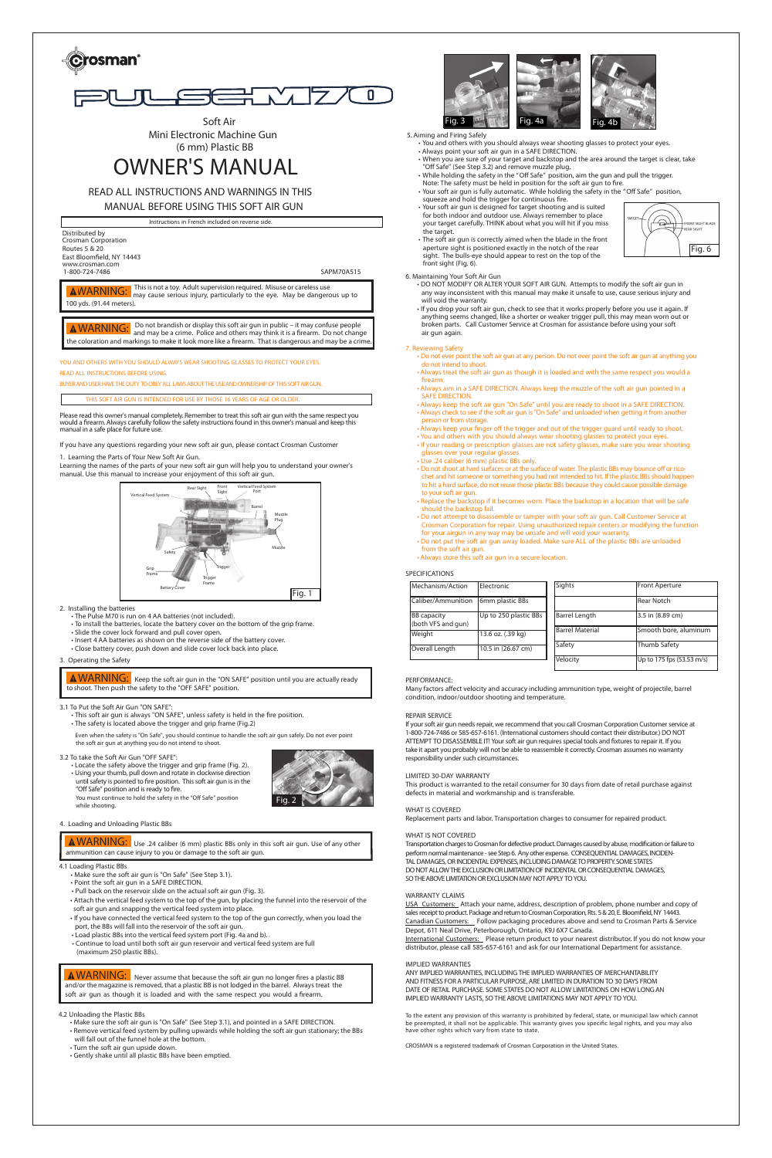



**Soft Air Mini Electronic Machine Gun (6 mm) Plastic BB**

# **OWNER'S MANUAL**

## **READ ALL INSTRUCTIONS AND WARNINGS IN THIS**

**MANUAL BEFORE USING THIS SOFT AIR GUN**

**Instructions in French included on reverse side.**

**YOU AND OTHERS WITH YOU SHOULD ALWAYS WEAR SHOOTING GLASSES TO PROTECT YOUR EYES. READ ALL INSTRUCTIONS BEFORE USING.**

**BUYERANDUSER HAVE THEDUTY TOOBEY ALL LAWSABOUT THEUSEANDOWNERSHIP OF THIS SOFTAIRGUN.**

Please read this owner's manual completely. Remember to treat thissoft air gun with the same respect you would a firearm.Always carefully follow the safety instructionsfound in this owner's manual and keep this manual in a safe place for future use.

If you have any questions regarding your new soft air gun, please contact Crosman Customer

#### **THIS SOFT AIR GUN IS INTENDED FOR USE BY THOSE 16 YEARS OF AGE OR OLDER.**

**6. Maintaining Your Soft Air Gun**

- DO NOT MODIFY OR ALTER YOUR SOFT AIR GUN. Attempts to modify the soft air gun in any way inconsistent with this manual may make it unsafe to use, cause serious injury and will void the warranty.
- If you drop your soft air gun, check to see that it works properly before you use it again. If anything seems changed, like a shorter or weaker trigger pull, this may mean worn out or broken parts. **Call Customer Service at Crosman for assistance before using your soft air gun again.**

### **7. Reviewing Safety**

- Do not ever point the soft air gun at any person. Do not ever point the soft air gun at anything you do not intend to shoot.
- Always treat the soft air gun as though it is loaded and with the same respect you would a firearm.
- Always aim in a SAFE DIRECTION. Always keep the muzzle of the soft air gun pointed in a SAFE DIRECTION.
- Always keep the soft air gun "On Safe" until you are ready to shoot in a SAFE DIRECTION. • Always check to see if the soft air gun is"On Safe" and unloaded when getting it from another person or from storage.
- Always keep your finger off the trigger and out of the trigger guard until ready to shoot. • You and others with you should always wear shooting glasses to protect your eyes
- If your reading or prescription glasses are not safety glasses, make sure you wear shooting glasses over your regular glasses.
- Use .24 caliber (6 mm) plastic BBs only.
- Do not shoot at hard surfaces or at the surface of water. The plastic BBs may bounce off or ricochet and hit someone or something you had not intended to hit. If the plastic BBs should happen to hit a hard surface, do not reuse those plastic BBs because they could cause possible damage to your soft air gun.
- Replace the backstop if it becomes worn. Place the backstop in a location that will be safe should the backstop fail.
- Do not attempt to disassemble or tamper with your soft air gun. Call Customer Service at Crosman Corporation for repair. Using unauthorized repair centers or modifying the function for your airgun in any way may be unsafe and will void your warranty.
- Do not put the soft air gun away loaded. Make sure ALL of the plastic BBs are unloaded from the soft air gun.
- Always store this soft air gun in a secure location.

ANY IMPLIED WARRANTIES, INCLUDINGTHE IMPLIED WARRANTIES OF MERCHANTABILITY AND FITNESS FOR A PARTICULAR PURPOSE, ARE LIMITED IN DURATION TO 30 DAYS FROM DATE OF RETAIL PURCHASE. SOME STATES DO NOT ALLOW LIMITATIONS ON HOW LONG AN IMPLIED WARRANTY LASTS, SO THE ABOVE LIMITATIONS MAY NOT APPLY TO YOU.

#### **SPECIFICATIONS**

#### **PERFORMANCE:**

Many factors affect velocity and accuracy including ammunition type, weight of projectile, barrel condition, indoor/outdoor shooting and temperature.

| Mechanism/Action                         | Electronic            | Sights                 | Front Aperture            |
|------------------------------------------|-----------------------|------------------------|---------------------------|
| Caliber/Ammunition                       | 6mm plastic BBs       |                        | l Rear Notch              |
| <b>BB</b> capacity<br>(both VFS and gun) | Up to 250 plastic BBs | <b>Barrel Length</b>   | 3.5 in (8.89 cm)          |
| Weight                                   | 13.6 oz. (.39 kg)     | <b>Barrel Material</b> | Smooth bore, aluminum     |
| Overall Length                           | 10.5 in (26.67 cm)    | Safety                 | Thumb Safety              |
|                                          |                       | Velocity               | Up to 175 fps (53.53 m/s) |

#### **REPAIR SERVICE**

If your soft air gun needs repair, we recommend that you call Crosman Corporation Customer service at 1-800-724-7486 or 585-657-6161. (International customers should contact their distributor.) DO NOT ATTEMPT TO DISASSEMBLE IT! Your soft air gun requires special tools and fixtures to repair it. If you take it apart you probably will not be able to reassemble it correctly. Crosman assumes no warranty responsibility under such circumstances.

 $WARNING:$  Keep the soft air gun in the "ON SAFE" position until you are actually ready  **to shoot. Then push the safety to the "OFF SAFE" position.**

#### **LIMITED 30-DAY WARRANTY**

This product is warranted to the retail consumer for 30 days from date of retail purchase against defects in material and workmanship and is transferable.

#### **WHAT IS COVERED**

 $\overline{WARNING:}$  Never assume that because the soft air gun no longer fires a plastic BB **and/or the magazine isremoved, that a plastic BB is not lodged in the barrel. Always treat the soft air gun as though it is loaded and with the same respect you would a firearm.**

Replacement parts and labor. Transportation charges to consumer for repaired product.

#### **WHAT IS NOT COVERED**

Transportation charges to Crosman for defective product. Damages caused by abuse, modification or failure to perform normal maintenance - see Step 6. Any other expense. CONSEQUENTIAL DAMAGES, INCIDEN-TAL DAMAGES, OR INCIDENTAL EXPENSES, INCLUDING DAMAGE TO PROPERTY. SOME STATES DO NOT ALLOW THE EXCLUSION OR LIMITATION OF INCIDENTAL OR CONSEQUENTIAL DAMAGES, SO THE ABOVE LIMITATION OR EXCLUSION MAY NOT APPLY TO YOU.

**Thisis not a toy. Adultsupervision required. Misuse or careless use may cause serious injury, particularly to the eye. May be dangerous up to 100 yds. (91.44 meters).** WARNING:

#### **WARRANTY CLAIMS**

USA Customers: Attach your name, address, description of problem, phone number and copy of sales receipt to product. Package and return to Crosman Corporation, Rts. 5 & 20, E. Bloomfield, NY 14443. Canadian Customers: Follow packaging procedures above and send to Crosman Parts & Service Depot, 611 Neal Drive, Peterborough, Ontario, K9J 6X7 Canada.

Distributed by Crosman Corporation Routes 5 & 20 East Bloomfield, NY <sup>14443</sup> www.crosman.com 1-800-724-7486 SAPM70A515

International Customers: Please return product to your nearest distributor. If you do not know your distributor, please call 585-657-6161 and ask for our International Department for assistance.

#### **IMPLIED WARRANTIES**

To the extent any provision of this warranty is prohibited by federal, state, or municipal law which cannot be preempted, it shall not be applicable. This warranty gives you specific legal rights, and you may also have other rights which vary from state to state.

CROSMAN is a registered trademark of Crosman Corporation in the United States.

**1. Learning the Parts of Your New Soft Air Gun.**

Learning the names of the parts of your new soft air gun will help you to understand your owner's manual. Use this manual to increase your enjoyment of this soft air gun.

#### **2. Installing the batteries**

• The Pulse M70 is run on 4 AA batteries (not included).

- To install the batteries, locate the battery cover on the bottom of the grip frame.
- Slide the cover lock forward and pull cover open.
- Insert 4 AA batteries as shown on the reverse side of the battery cover. • Close battery cover, push down and slide cover lock back into place.

**3. Operating the Safety**

#### **3.1 To Put the Soft Air Gun "ON SAFE":**

• This soft air gun is always "ON SAFE", unless safety is held in the fire position. • The safety is located above the trigger and grip frame (Fig.2)

Even when the safety is "On Safe", you should continue to handle the soft air gun safely. Do not ever point the soft air gun at anything you do not intend to shoot.

#### **3.2 To take the Soft Air Gun "OFF SAFE":**

• Locate the safety above the trigger and grip frame (Fig. 2). • Using your thumb, pull down and rotate in clockwise direction until safety is pointed to fire position. This soft air gun is in the "Off Safe" position and is ready to fire. **You must continue to hold the safety in the "Off Safe" position**

**while shooting.**



### **4. Loading and Unloading Plastic BBs**

#### **4.1 Loading Plastic BBs**

**4.2 Unloading the Plastic BBs**

- Make sure the soft air gun is "On Safe" (See Step 3.1), and pointed in a SAFE DIRECTION.
- Remove vertical feed system by pulling upwards while holding the soft air gun stationary; the BBs will fall out of the funnel hole at the bottom.
- Turn the soft air gun upside down.
- Gently shake until all plastic BBs have been emptied.



**Use .24 caliber (6 mm) plastic BBs only in this soft air gun. Use of any other** WARNING: **ammunition can cause injury to you or damage to the soft air gun.**



**5. Aiming and Firing Safely**

- Make sure the soft air gun is "On Safe" (See Step 3.1).
- Point the soft air gun in a SAFE DIRECTION.
- Pull back on the reservoir slide on the actual soft air gun (Fig. 3).
- Attach the vertical feed system to the top of the gun, by placing the funnel into the reservoir of the soft air gun and snapping the vertical feed system into place.
- If you have connected the vertical feed system to the top of the gun correctly, when you load the port, the BBs will fall into the reservoir of the soft air gun.
- Load plastic BBs into the vertical feed system port (Fig. 4a and b).
- Continue to load until both soft air gun reservoir and vertical feed system are full (maximum 250 plastic BBs).
- You and others with you should always wear shooting glasses to protect your eyes.
- Always point your soft air gun in a SAFE DIRECTION.
- When you are sure of your target and backstop and the area around the target is clear, take "Off Safe" (See Step 3.2) and remove muzzle plug.
- United the safety in the "Off Safe" position, aim the gun and pull the trigger.
- **Note: The safety must be held in position for the soft air gun to fire.** • Your soft air gun is fully automatic. While holding the safety in the "Off Safe" position,
- squeeze and hold the trigger for continuous fire.
- Your soft air gun is designed for target shooting and is suited for both indoor and outdoor use. Always remember to place your target carefully. THINK about what you will hit if you miss the target
- The soft air gun is correctly aimed when the blade in the front aperture sight is positioned exactly in the notch of the rear sight. The bulls-eye should appear to rest on the top of the front sight (Fig. 6).





WARNING: **Do not brandish or display this soft air gun in public – it may confuse people and may be a crime. Police and others may think it is a firearm. Do not change the coloration and markings to make it look more like a firearm. That is dangerous and may be a crime.**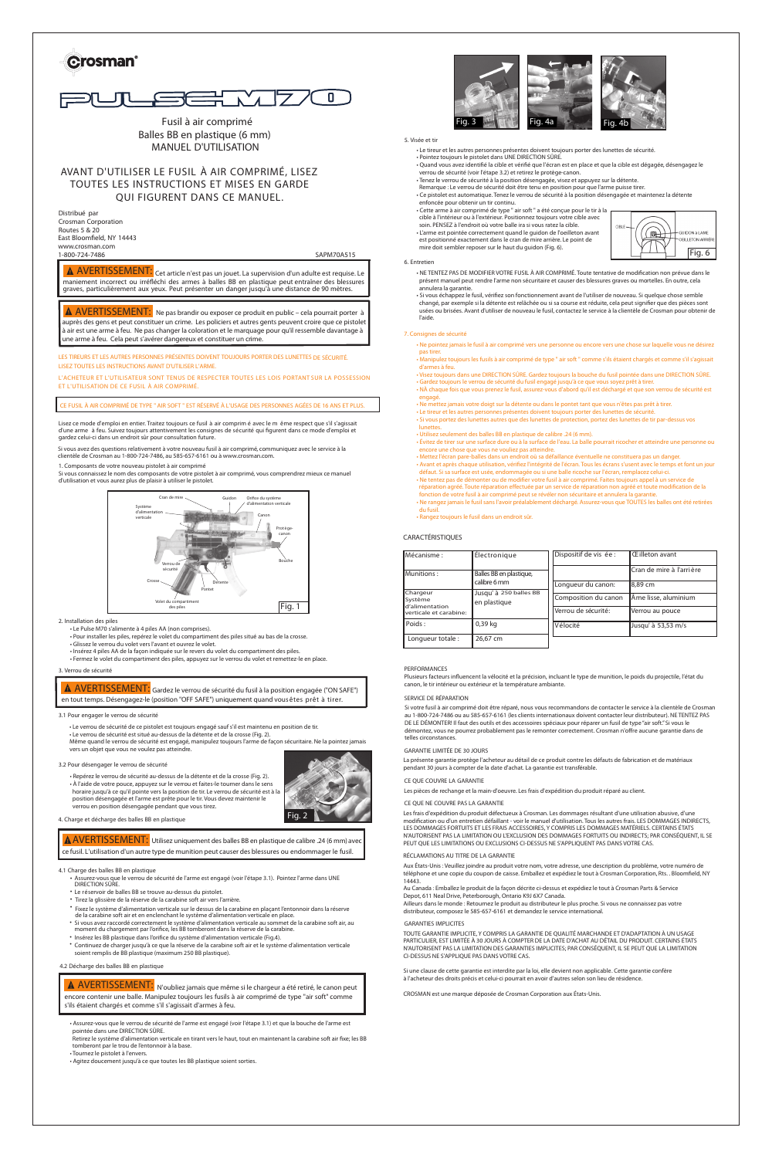



**Fusil à air comprimé Balles BB en plastique (6 mm) MANUEL D'UTILISATION**

### **AVANT D'UTILISER LE FUSIL À AIR COMPRIMÉ, LISEZ TOUTES LES INSTRUCTIONS ET MISES EN GARDE QUI FIGURENT DANS CE MANUEL.**

Distribué par Crosman Corporation Routes 5 & 20 East Bloomfield, NY 14443 www.crosman.com 1-800-724-7486 SAPM70A515

**LES TIREURS ET LES AUTRES PERSONNES PRÉSENTES DOIVENT TOUJOURS PORTER DES LUNETTES DE SÉCURITÉ. LISEZ TOUTES LES INSTRUCTIONS AVANT D'UTILISER L'ARME.**

**L'ACHETEUR ET L'UTILISATEUR SONT TENUS DE RESPECTER TOUTES LES LOIS PORTANT SUR LA POSSESSION ET L'UTILISATION DE CE FUSIL À AIR COMPRIMÉ.**

#### CE FUSIL À AIR COMPRIMÉ DE TYPE " AIR SOFT " EST RÉSERVÉ À L'USAGE DES PERSONNES AGÉES DE 16 ANS ET PLUS.

Lisez ce mode d'emploi en entier. Traitez toujours ce fusil à air comprim é avec le m ême respect que s'il s'agissait d'une arme à feu. Suivez toujours attentivement les consignes de sécurité qui figurent dans ce mode d'emploi et gardez celui-ci dans un endroit sûr pour consultation future.

#### **6. Entretien**

#### **CARACTÉRISTIQUES**

#### **PERFORMANCES**

**Plusieurs facteurs influencent la vélocité et la précision, incluant le type de munition, le poids du projectile, l'état du canon, le tir intérieur ou extérieur et la température ambiante.**

 $\overline{AVERTISSEMENT:}$  N'oubliez jamais que même si le chargeur a été retiré, le canon peut **encore contenir une balle. Manipulez toujours les fusils à air comprimé de type "air soft" comme s'ils étaient chargés et comme s'il s'agissait d'armes à feu.**

| Mécanisme :                                                                                                                                                         | Électronique         | Dispositif de vis ée :    | <b>Eilleton avant</b> |
|---------------------------------------------------------------------------------------------------------------------------------------------------------------------|----------------------|---------------------------|-----------------------|
| Munitions:<br>Balles BB en plastique,<br>calibre 6 mm<br>Chargeur<br>Jusqu' à 250 balles BB<br>Système<br>en plastique<br>d'alimentation<br>Iverticale et carabine: |                      | lCran de mire à l'arrière |                       |
|                                                                                                                                                                     |                      | Longueur du canon:        | 8,89 cm               |
|                                                                                                                                                                     | Composition du canon | Åme lisse, aluminium      |                       |
|                                                                                                                                                                     |                      | Verrou de sécurité:       | Verrou au pouce       |
| Poids:                                                                                                                                                              | $0.39$ kg            | Vélocité                  | Jusqu' à 53,53 m/s    |
| Longueur totale :                                                                                                                                                   | 26,67 cm             |                           |                       |

#### **SERVICE DE RÉPARATION**

#### **GARANTIE LIMITÉE DE 30 JOURS**

### AVERTISSEMENT: Gardez le verrou de sécurité du fusil à la position engagée ("ON SAFE") en tout temps. Désengagez-le (position "OFF SAFE") uniquement quand vous êtes prêt à tirer.

#### **CE QUE COUVRE LA GARANTIE**

**CE QUE NE COUVRE PAS LA GARANTIE**

#### **RÉCLAMATIONS AU TITRE DE LA GARANTIE**

#### **GARANTIES IMPLICITES**

**2. Installation des piles**

**3.1 Pour engager le verrou de sécurité**

#### **3.2 Pour désengager le verrou de sécurité**



AVERTISSEMENT: Ne pas brandir ou exposer ce produit en public – cela pourrait porter à auprès des gens et peut constituer un crime. Les policiers et autres gents peuvent croire que ce pistolet à air est une arme à feu. Ne pas changer la coloration et le marquage pour qu'il ressemble davantage à une arme à feu. Cela peut s'avérer dangereux et constituer un crime.

#### **4.2 Décharge des balles BB en plastique**







**Cet article n'est pas un jouet. La supervision d'un adulte est requise. Le** AVERTISSEMENT: **maniement incorrect ou irréfléchi des armes à balles BB en plastique peut entraîner des blessures graves, particulièrement aux yeux. Peut présenter un danger jusqu'à une distance de 90 mètres.**

- **4.1 Charge des balles BB en plastique**
	- Assurez-vous que le verrou de sécurité de l'arme est engagé (voir l'étape 3.1). Pointez l'arme dans UNE DIRECTION SÛRE.
	- Le réservoir de balles BB se trouve au-dessus du pistolet.
	- Tirez la glissière de la réserve de la carabine soft air vers l'arrière.
	- Fixez le système d'alimentation verticale sur le dessus de la carabine en plaçant l'entonnoir dans la réserve de la carabine soft air et en enclenchant le système d'alimentation verticale en place.
	- moment du chargement par l'orifice, les BB tomberont dans la réserve de la carabine \* Si vous avez raccordé correctement le système d'alimentation verticale au sommet de la carabine soft air, au
	- Insérez les BB plastique dans l'orifice du système d'alimentation verticale (Fig.4).
	- Continuez de charger jusqu'à ce que la réserve de la carabine soft air et le système d'alimentation verticale soient remplis de BB plastique (maximum 250 BB plastique).

**3. Verrou de sécurité** • Fermez le volet du compartiment des piles, appuyez sur le verrou du volet et remettez-le en place.

Si vous avez des questions relativement à votre nouveau fusil à air comprimé, communiquez avec le service à la clientèle de Crosman au 1-800-724-7486, au 585-657-6161 ou à www.crosman.com.

• Le Pulse M70 s'alimente à 4 piles AA (non comprises).

• Pour installer les piles, repérez le volet du compartiment des piles situé au bas de la crosse.

• Glissez le verrou du volet vers l'avant et ouvrez le volet.

• Insérez 4 piles AA de la façon indiquée sur le revers du volet du compartiment des piles.

• Le verrou de sécurité de ce pistolet est toujours engagé sauf s'il est maintenu en position de tir.

• Le verrou de sécurité est situé au-dessus de la détente et de la crosse (Fig. 2). Même quand le verrou de sécurité est engagé, manipulez toujours l'arme de façon sécuritaire. Ne la pointez jamais vers un objet que vous ne voulez pas atteindre.

• Repérez le verrou de sécurité au-dessus de la détente et de la crosse (Fig. 2). • À l'aide de votre pouce, appuyez sur le verrou et faites-le tourner dans le sens



position désengagée et l'arme est prête pour le tir. Vous devez maintenir le

verrou en position désengagée pendant que vous tirez.

- Assurez-vous que le verrou de sécurité de l'arme est engagé (voir l'étape 3.1) et que la bouche de l'arme est pointée dans une DIRECTION SÛRE.
- Retirez le système d'alimentation verticale en tirant vers le haut, tout en maintenant la carabine soft air fixe; les BB tomberont par le trou de l'entonnoir à la base.
- Tournez le pistolet à l'envers.
- Agitez doucement jusqu'à ce que toutes les BB plastique soient sorties.

- Ne pointez jamais le fusil à air comprimé vers une personne ou encore vers une chose sur laquelle vous ne désirez pas tirer.
- Manipulez toujours les fusils à air comprimé de type " air soft " comme s'ils étaient chargés et comme s'il s'agissait d'armes à feu.
- Visez toujours dans une DIRECTION SÛRE. Gardez toujours la bouche du fusil pointée dans une DIRECTION SÛRE. • Gardez toujours le verrou de sécurité du fusil engagé jusqu'à ce que vous soyez prêt à tirer.

• NÀ chaque fois que vous prenez le fusil, assurez-vous d'abord qu'il est déchargé et que son verrou de sécurité est engagé.

- Ne mettez jamais votre doigt sur la détente ou dans le pontet tant que vous n'êtes pas prêt à tirer.
- Le tireur et les autres personnes présentes doivent toujours porter des lunettes de sécurité • Si vous portez des lunettes autres que des lunettes de protection, portez des lunettes de tir par-dessus vos
- lunettes.
- Utilisez seulement des balles BB en plastique de calibre .24 (6 mm).
- Évitez de tirer sur une surface dure ou à la surface de l'eau. La balle pourrait ricocher et atteindre une personne ou encore une chose que vous ne vouliez pas atteindre.
- Mettez l'écran pare-balles dans un endroit où sa défaillance éventuelle ne constituera pas un danger.
- Avant et après chaque utilisation, vérifiez l'intégrité de l'écran. Tous les écrans s'usent avec le temps et font un jour défaut. Si sa surface est usée, endommagée ou si une balle ricoche sur l'écran, remplacez celui-ci.
- Ne tentez pas de démonter ou de modifier votre fusil à air comprimé. Faites toujours appel à un service de réparation agréé. Toute réparation effectuée par un service de réparation non agréé et toute modification de la fonction de votre fusil à air comprimé peut se révéler non sécuritaire et annulera la garantie.
- Ne rangez jamais le fusil sans l'avoir préalablement déchargé. Assurez-vous que TOUTES les balles ont été retirées du fusil.
- Rangez toujours le fusil dans un endroit sûr.



#### **7. Consignes de sécurité**

- NE TENTEZ PAS DE MODIFIER VOTRE FUSIL À AIR COMPRIMÉ. Toute tentative de modification non prévue dans le présent manuel peut rendre l'arme non sécuritaire et causer des blessures graves ou mortelles. En outre, cela annulera la garantie.
- Si vous échappez le fusil, vérifiez son fonctionnement avant de l'utiliser de nouveau. Si quelque chose semble changé, par exemple si la détente est relâchée ou si sa course est réduite, cela peut signifier que des pièces sont usées ou brisées. Avant d'utiliser de nouveau le fusil, contactez le service à la clientèle de Crosman pour obtenir de l'aide.
- Le tireur et les autres personnes présentes doivent toujours porter des lunettes de sécurité.
- Pointez toujours le pistolet dans UNE DIRECTION SÛRE. • Quand vous avez identifié la cible et vérifié que l'écran est en place et que la cible est dégagée, désengagez le
- verrou de sécurité (voir l'étape 3.2) et retirez le protège-canon. • Tenez le verrou de sécurité à la position désengagée, visez et appuyez sur la détente.
- Remarque : Le verrou de sécurité doit être tenu en position pour que l'arme puisse tirer.
- Ce pistolet est automatique. Tenez le verrou de sécurité à la position désengagée et maintenez la détente
- enfoncée pour obtenir un tir continu. • Cette arme à air comprimé de type " air soft " a été conçue pour le tir à la cible à l'intérieur ou à l'extérieur. Positionnez toujours votre cible avec soin. PENSEZ à l'endroit où votre balle ira si vous ratez la cible. • L'arme est pointée correctement quand le guidon de l'oeilleton avant est positionné exactement dans le cran de mire arrière. Le point de
- mire doit sembler reposer sur le haut du guidon (Fig. 6).

Si votre fusil à air comprimé doit être réparé, nous vous recommandons de contacter le service à la clientèle de Crosman au 1-800-724-7486 ou au 585-657-6161 (les clients internationaux doivent contacter leur distributeur). NE TENTEZ PAS DE LE DÉMONTER! Il faut des outils et des accessoires spéciaux pour réparer un fusil de type "air soft." Si vous le démontez, vous ne pourrez probablement pas le remonter correctement. Crosman n'offre aucune garantie dans de telles circonstances.

La présente garantie protège l'acheteur au détail de ce produit contre les défauts de fabrication et de matériaux pendant 30 jours à compter de la date d'achat. La garantie est transférable.

Les pièces de rechange et la main-d'oeuvre. Les frais d'expédition du produit réparé au client.

Les frais d'expédition du produit défectueux à Crosman. Les dommages résultant d'une utilisation abusive, d'une modification ou d'un entretien défaillant - voir le manuel d'utilisation. Tous les autres frais. LES DOMMAGES INDIRECTS, LES DOMMAGES FORTUITS ET LES FRAIS ACCESSOIRES, Y COMPRIS LES DOMMAGES MATÉRIELS. CERTAINS ÉTATS N'AUTORISENT PAS LA LIMITATION OU L'EXCLUSION DES DOMMAGES FORTUITS OU INDIRECTS; PAR CONSÉQUENT, IL SE PEUT QUE LES LIMITATIONS OU EXCLUSIONS CI-DESSUS NE S'APPLIQUENT PAS DANS VOTRE CAS.

Aux États-Unis : Veuillez joindre au produit votre nom, votre adresse, une description du problème, votre numéro de téléphone et une copie du coupon de caisse. Emballez et expédiez le tout à Crosman Corporation, Rts. . Bloomfield, NY 14443.

Au Canada : Emballez le produit de la façon décrite ci-dessus et expédiez le tout à Crosman Parts & Service Depot, 611 Neal Drive, Peterborough, Ontario K9J 6X7 Canada.

Ailleurs dans le monde : Retournez le produit au distributeur le plus proche. Si vous ne connaissez pas votre distributeur, composez le 585-657-6161 et demandez le service international.

TOUTE GARANTIE IMPLICITE, Y COMPRIS LA GARANTIE DE QUALITÉ MARCHANDE ET D'ADAPTATION À UN USAGE PARTICULIER, EST LIMITÉE À 30 JOURS À COMPTER DE LA DATE D'ACHAT AU DÉTAIL DU PRODUIT. CERTAINS ÉTATS N'AUTORISENT PAS LA LIMITATION DES GARANTIES IMPLICITES; PAR CONSÉQUENT, IL SE PEUT QUE LA LIMITATION CI-DESSUS NE S'APPLIQUE PAS DANS VOTRE CAS.

Si une clause de cette garantie est interdite par la loi, elle devient non applicable. Cette garantie confère à l'acheteur des droits précis et celui-ci pourrait en avoir d'autres selon son lieu de résidence.

CROSMAN est une marque déposée de Crosman Corporation aux États-Unis.



#### **5. Visée et tir**

1. Composants de votre nouveau pistolet à air comprimé

Si vous connaissez le nom des composants de votre pistolet à air comprimé, vous comprendrez mieux ce manuel d'utilisation et vous aurez plus de plaisir à utiliser le pistolet.